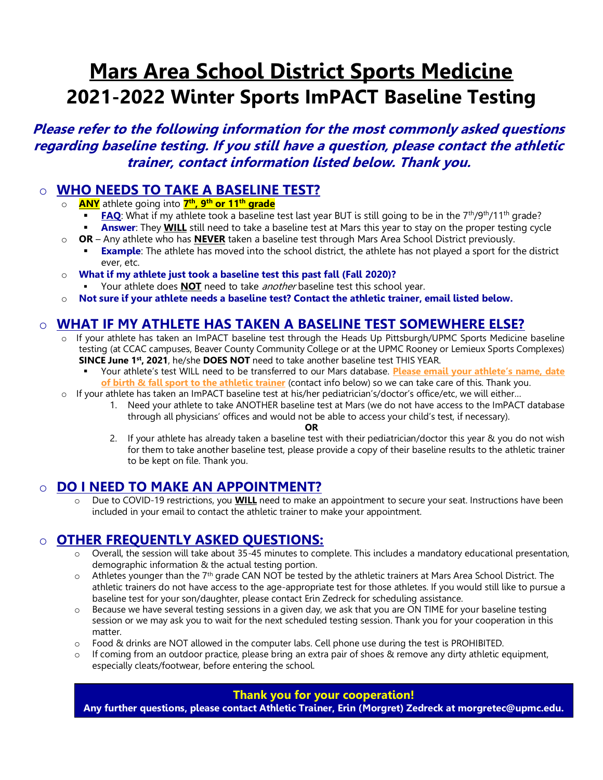# **Mars Area School District Sports Medicine 2021-2022 Winter Sports ImPACT Baseline Testing**

## **Please refer to the following information for the most commonly asked questions regarding baseline testing. If you still have a question, please contact the athletic trainer, contact information listed below. Thank you.**

#### o **WHO NEEDS TO TAKE A BASELINE TEST?**

- o **ANY** athlete going into **7 th, 9th or 11th grade**
	- **FAQ**: What if my athlete took a baseline test last year BUT is still going to be in the 7<sup>th</sup>/9<sup>th</sup>/11<sup>th</sup> grade? **Answer:** They **WILL** still need to take a baseline test at Mars this year to stay on the proper testing cycle
- o **OR** Any athlete who has **NEVER** taken a baseline test through Mars Area School District previously.
	- **Example**: The athlete has moved into the school district, the athlete has not played a sport for the district ever, etc.
- o **What if my athlete just took a baseline test this past fall (Fall 2020)?**
	- Your athlete does **NOT** need to take *another* baseline test this school year.
- o **Not sure if your athlete needs a baseline test? Contact the athletic trainer, email listed below.**

### o **WHAT IF MY ATHLETE HAS TAKEN A BASELINE TEST SOMEWHERE ELSE?**

- o If your athlete has taken an ImPACT baseline test through the Heads Up Pittsburgh/UPMC Sports Medicine baseline testing (at CCAC campuses, Beaver County Community College or at the UPMC Rooney or Lemieux Sports Complexes) **SINCE June 1 st, 2021**, he/she **DOES NOT** need to take another baseline test THIS YEAR.
	- Your athlete's test WILL need to be transferred to our Mars database. **Please email your athlete's name, date of birth & fall sport to the athletic trainer** (contact info below) so we can take care of this. Thank you.
- o If your athlete has taken an ImPACT baseline test at his/her pediatrician's/doctor's office/etc, we will either…
	- 1. Need your athlete to take ANOTHER baseline test at Mars (we do not have access to the ImPACT database through all physicians' offices and would not be able to access your child's test, if necessary).

**OR**

2. If your athlete has already taken a baseline test with their pediatrician/doctor this year & you do not wish for them to take another baseline test, please provide a copy of their baseline results to the athletic trainer to be kept on file. Thank you.

#### o **DO I NEED TO MAKE AN APPOINTMENT?**

o Due to COVID-19 restrictions, you **WILL** need to make an appointment to secure your seat. Instructions have been included in your email to contact the athletic trainer to make your appointment.

### o **OTHER FREQUENTLY ASKED QUESTIONS:**

- Overall, the session will take about 35-45 minutes to complete. This includes a mandatory educational presentation, demographic information & the actual testing portion.
- $\circ$  Athletes younger than the 7<sup>th</sup> grade CAN NOT be tested by the athletic trainers at Mars Area School District. The athletic trainers do not have access to the age-appropriate test for those athletes. If you would still like to pursue a baseline test for your son/daughter, please contact Erin Zedreck for scheduling assistance.
- o Because we have several testing sessions in a given day, we ask that you are ON TIME for your baseline testing session or we may ask you to wait for the next scheduled testing session. Thank you for your cooperation in this matter.
- $\circ$  Food & drinks are NOT allowed in the computer labs. Cell phone use during the test is PROHIBITED.
- $\circ$  If coming from an outdoor practice, please bring an extra pair of shoes & remove any dirty athletic equipment, especially cleats/footwear, before entering the school.

#### **Thank you for your cooperation!**

**Any further questions, please contact Athletic Trainer, Erin (Morgret) Zedreck at morgretec@upmc.edu.**